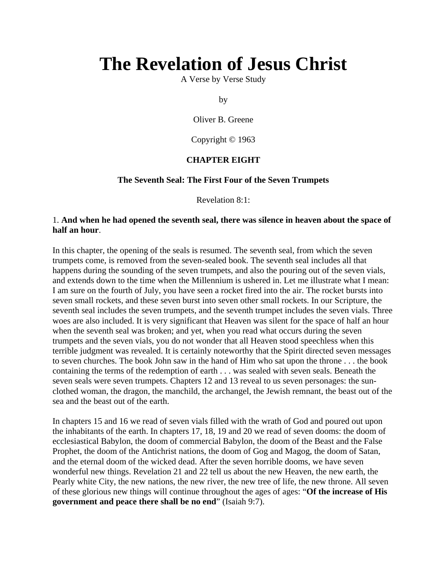# **The Revelation of Jesus Christ**

A Verse by Verse Study

by

Oliver B. Greene

Copyright © 1963

#### **CHAPTER EIGHT**

#### **The Seventh Seal: The First Four of the Seven Trumpets**

Revelation 8:1:

#### 1. **And when he had opened the seventh seal, there was silence in heaven about the space of half an hour**.

In this chapter, the opening of the seals is resumed. The seventh seal, from which the seven trumpets come, is removed from the seven-sealed book. The seventh seal includes all that happens during the sounding of the seven trumpets, and also the pouring out of the seven vials, and extends down to the time when the Millennium is ushered in. Let me illustrate what I mean: I am sure on the fourth of July, you have seen a rocket fired into the air. The rocket bursts into seven small rockets, and these seven burst into seven other small rockets. In our Scripture, the seventh seal includes the seven trumpets, and the seventh trumpet includes the seven vials. Three woes are also included. It is very significant that Heaven was silent for the space of half an hour when the seventh seal was broken; and yet, when you read what occurs during the seven trumpets and the seven vials, you do not wonder that all Heaven stood speechless when this terrible judgment was revealed. It is certainly noteworthy that the Spirit directed seven messages to seven churches. The book John saw in the hand of Him who sat upon the throne . . . the book containing the terms of the redemption of earth . . . was sealed with seven seals. Beneath the seven seals were seven trumpets. Chapters 12 and 13 reveal to us seven personages: the sunclothed woman, the dragon, the manchild, the archangel, the Jewish remnant, the beast out of the sea and the beast out of the earth.

In chapters 15 and 16 we read of seven vials filled with the wrath of God and poured out upon the inhabitants of the earth. In chapters 17, 18, 19 and 20 we read of seven dooms: the doom of ecclesiastical Babylon, the doom of commercial Babylon, the doom of the Beast and the False Prophet, the doom of the Antichrist nations, the doom of Gog and Magog, the doom of Satan, and the eternal doom of the wicked dead. After the seven horrible dooms, we have seven wonderful new things. Revelation 21 and 22 tell us about the new Heaven, the new earth, the Pearly white City, the new nations, the new river, the new tree of life, the new throne. All seven of these glorious new things will continue throughout the ages of ages: "**Of the increase of His government and peace there shall be no end**" (Isaiah 9:7).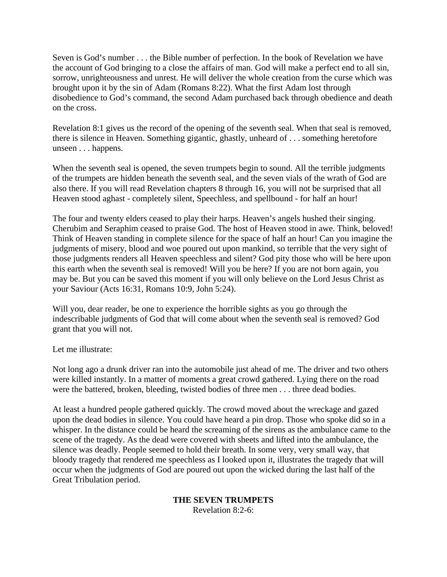Seven is God's number . . . the Bible number of perfection. In the book of Revelation we have the account of God bringing to a close the affairs of man. God will make a perfect end to all sin, sorrow, unrighteousness and unrest. He will deliver the whole creation from the curse which was brought upon it by the sin of Adam (Romans 8:22). What the first Adam lost through disobedience to God's command, the second Adam purchased back through obedience and death on the cross.

Revelation 8:1 gives us the record of the opening of the seventh seal. When that seal is removed, there is silence in Heaven. Something gigantic, ghastly, unheard of . . . something heretofore unseen . . . happens.

When the seventh seal is opened, the seven trumpets begin to sound. All the terrible judgments of the trumpets are hidden beneath the seventh seal, and the seven vials of the wrath of God are also there. If you will read Revelation chapters 8 through 16, you will not be surprised that all Heaven stood aghast - completely silent, Speechless, and spellbound - for half an hour!

The four and twenty elders ceased to play their harps. Heaven's angels hushed their singing. Cherubim and Seraphim ceased to praise God. The host of Heaven stood in awe. Think, beloved! Think of Heaven standing in complete silence for the space of half an hour! Can you imagine the judgments of misery, blood and woe poured out upon mankind, so terrible that the very sight of those judgments renders all Heaven speechless and silent? God pity those who will be here upon this earth when the seventh seal is removed! Will you be here? If you are not born again, you may be. But you can be saved this moment if you will only believe on the Lord Jesus Christ as your Saviour (Acts 16:31, Romans 10:9, John 5:24).

Will you, dear reader, be one to experience the horrible sights as you go through the indescribable judgments of God that will come about when the seventh seal is removed? God grant that you will not.

Let me illustrate:

Not long ago a drunk driver ran into the automobile just ahead of me. The driver and two others were killed instantly. In a matter of moments a great crowd gathered. Lying there on the road were the battered, broken, bleeding, twisted bodies of three men . . . three dead bodies.

At least a hundred people gathered quickly. The crowd moved about the wreckage and gazed upon the dead bodies in silence. You could have heard a pin drop. Those who spoke did so in a whisper. In the distance could be heard the screaming of the sirens as the ambulance came to the scene of the tragedy. As the dead were covered with sheets and lifted into the ambulance, the silence was deadly. People seemed to hold their breath. In some very, very small way, that bloody tragedy that rendered me speechless as I looked upon it, illustrates the tragedy that will occur when the judgments of God are poured out upon the wicked during the last half of the Great Tribulation period.

#### **THE SEVEN TRUMPETS**

Revelation 8:2-6: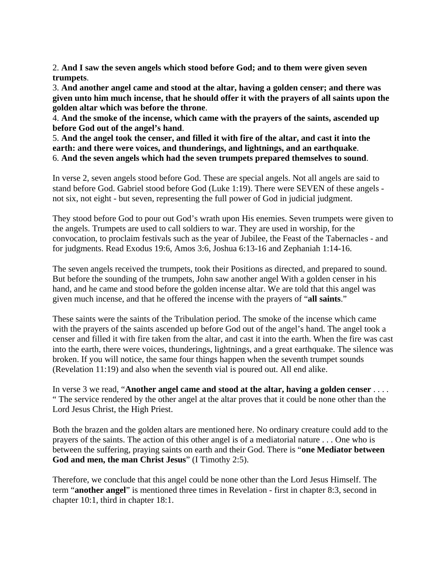2. **And I saw the seven angels which stood before God; and to them were given seven trumpets**.

3. **And another angel came and stood at the altar, having a golden censer; and there was given unto him much incense, that he should offer it with the prayers of all saints upon the golden altar which was before the throne**.

4. **And the smoke of the incense, which came with the prayers of the saints, ascended up before God out of the angel's hand**.

5. **And the angel took the censer, and filled it with fire of the altar, and cast it into the earth: and there were voices, and thunderings, and lightnings, and an earthquake**. 6. **And the seven angels which had the seven trumpets prepared themselves to sound**.

In verse 2, seven angels stood before God. These are special angels. Not all angels are said to stand before God. Gabriel stood before God (Luke 1:19). There were SEVEN of these angels not six, not eight - but seven, representing the full power of God in judicial judgment.

They stood before God to pour out God's wrath upon His enemies. Seven trumpets were given to the angels. Trumpets are used to call soldiers to war. They are used in worship, for the convocation, to proclaim festivals such as the year of Jubilee, the Feast of the Tabernacles - and for judgments. Read Exodus 19:6, Amos 3:6, Joshua 6:13-16 and Zephaniah 1:14-16.

The seven angels received the trumpets, took their Positions as directed, and prepared to sound. But before the sounding of the trumpets, John saw another angel With a golden censer in his hand, and he came and stood before the golden incense altar. We are told that this angel was given much incense, and that he offered the incense with the prayers of "**all saints**."

These saints were the saints of the Tribulation period. The smoke of the incense which came with the prayers of the saints ascended up before God out of the angel's hand. The angel took a censer and filled it with fire taken from the altar, and cast it into the earth. When the fire was cast into the earth, there were voices, thunderings, lightnings, and a great earthquake. The silence was broken. If you will notice, the same four things happen when the seventh trumpet sounds (Revelation 11:19) and also when the seventh vial is poured out. All end alike.

In verse 3 we read, "**Another angel came and stood at the altar, having a golden censer** . . . . " The service rendered by the other angel at the altar proves that it could be none other than the Lord Jesus Christ, the High Priest.

Both the brazen and the golden altars are mentioned here. No ordinary creature could add to the prayers of the saints. The action of this other angel is of a mediatorial nature . . . One who is between the suffering, praying saints on earth and their God. There is "**one Mediator between God and men, the man Christ Jesus**" (I Timothy 2:5).

Therefore, we conclude that this angel could be none other than the Lord Jesus Himself. The term "**another angel**" is mentioned three times in Revelation - first in chapter 8:3, second in chapter 10:1, third in chapter 18:1.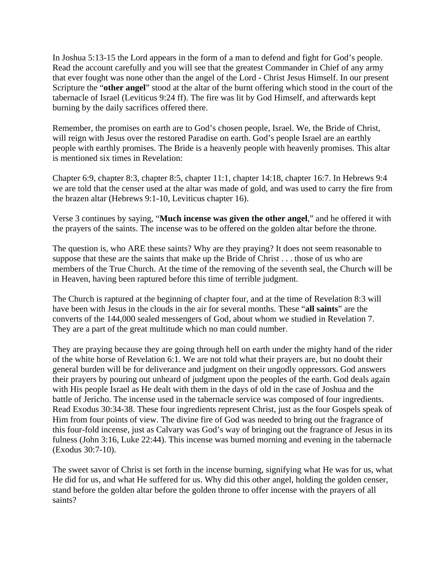In Joshua 5:13-15 the Lord appears in the form of a man to defend and fight for God's people. Read the account carefully and you will see that the greatest Commander in Chief of any army that ever fought was none other than the angel of the Lord - Christ Jesus Himself. In our present Scripture the "**other angel**" stood at the altar of the burnt offering which stood in the court of the tabernacle of Israel (Leviticus 9:24 ff). The fire was lit by God Himself, and afterwards kept burning by the daily sacrifices offered there.

Remember, the promises on earth are to God's chosen people, Israel. We, the Bride of Christ, will reign with Jesus over the restored Paradise on earth. God's people Israel are an earthly people with earthly promises. The Bride is a heavenly people with heavenly promises. This altar is mentioned six times in Revelation:

Chapter 6:9, chapter 8:3, chapter 8:5, chapter 11:1, chapter 14:18, chapter 16:7. In Hebrews 9:4 we are told that the censer used at the altar was made of gold, and was used to carry the fire from the brazen altar (Hebrews 9:1-10, Leviticus chapter 16).

Verse 3 continues by saying, "**Much incense was given the other angel**," and he offered it with the prayers of the saints. The incense was to be offered on the golden altar before the throne.

The question is, who ARE these saints? Why are they praying? It does not seem reasonable to suppose that these are the saints that make up the Bride of Christ . . . those of us who are members of the True Church. At the time of the removing of the seventh seal, the Church will be in Heaven, having been raptured before this time of terrible judgment.

The Church is raptured at the beginning of chapter four, and at the time of Revelation 8:3 will have been with Jesus in the clouds in the air for several months. These "**all saints**" are the converts of the 144,000 sealed messengers of God, about whom we studied in Revelation 7. They are a part of the great multitude which no man could number.

They are praying because they are going through hell on earth under the mighty hand of the rider of the white horse of Revelation 6:1. We are not told what their prayers are, but no doubt their general burden will be for deliverance and judgment on their ungodly oppressors. God answers their prayers by pouring out unheard of judgment upon the peoples of the earth. God deals again with His people Israel as He dealt with them in the days of old in the case of Joshua and the battle of Jericho. The incense used in the tabernacle service was composed of four ingredients. Read Exodus 30:34-38. These four ingredients represent Christ, just as the four Gospels speak of Him from four points of view. The divine fire of God was needed to bring out the fragrance of this four-fold incense, just as Calvary was God's way of bringing out the fragrance of Jesus in its fulness (John 3:16, Luke 22:44). This incense was burned morning and evening in the tabernacle (Exodus 30:7-10).

The sweet savor of Christ is set forth in the incense burning, signifying what He was for us, what He did for us, and what He suffered for us. Why did this other angel, holding the golden censer, stand before the golden altar before the golden throne to offer incense with the prayers of all saints?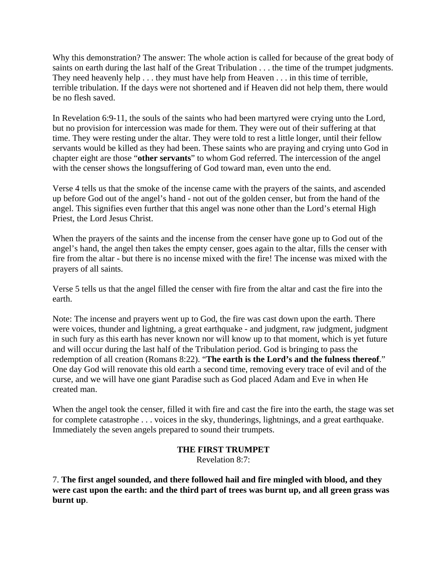Why this demonstration? The answer: The whole action is called for because of the great body of saints on earth during the last half of the Great Tribulation . . . the time of the trumpet judgments. They need heavenly help . . . they must have help from Heaven . . . in this time of terrible, terrible tribulation. If the days were not shortened and if Heaven did not help them, there would be no flesh saved.

In Revelation 6:9-11, the souls of the saints who had been martyred were crying unto the Lord, but no provision for intercession was made for them. They were out of their suffering at that time. They were resting under the altar. They were told to rest a little longer, until their fellow servants would be killed as they had been. These saints who are praying and crying unto God in chapter eight are those "**other servants**" to whom God referred. The intercession of the angel with the censer shows the longsuffering of God toward man, even unto the end.

Verse 4 tells us that the smoke of the incense came with the prayers of the saints, and ascended up before God out of the angel's hand - not out of the golden censer, but from the hand of the angel. This signifies even further that this angel was none other than the Lord's eternal High Priest, the Lord Jesus Christ.

When the prayers of the saints and the incense from the censer have gone up to God out of the angel's hand, the angel then takes the empty censer, goes again to the altar, fills the censer with fire from the altar - but there is no incense mixed with the fire! The incense was mixed with the prayers of all saints.

Verse 5 tells us that the angel filled the censer with fire from the altar and cast the fire into the earth.

Note: The incense and prayers went up to God, the fire was cast down upon the earth. There were voices, thunder and lightning, a great earthquake - and judgment, raw judgment, judgment in such fury as this earth has never known nor will know up to that moment, which is yet future and will occur during the last half of the Tribulation period. God is bringing to pass the redemption of all creation (Romans 8:22). "**The earth is the Lord's and the fulness thereof**." One day God will renovate this old earth a second time, removing every trace of evil and of the curse, and we will have one giant Paradise such as God placed Adam and Eve in when He created man.

When the angel took the censer, filled it with fire and cast the fire into the earth, the stage was set for complete catastrophe . . . voices in the sky, thunderings, lightnings, and a great earthquake. Immediately the seven angels prepared to sound their trumpets.

# **THE FIRST TRUMPET**

Revelation 8:7:

7. **The first angel sounded, and there followed hail and fire mingled with blood, and they were cast upon the earth: and the third part of trees was burnt up, and all green grass was burnt up**.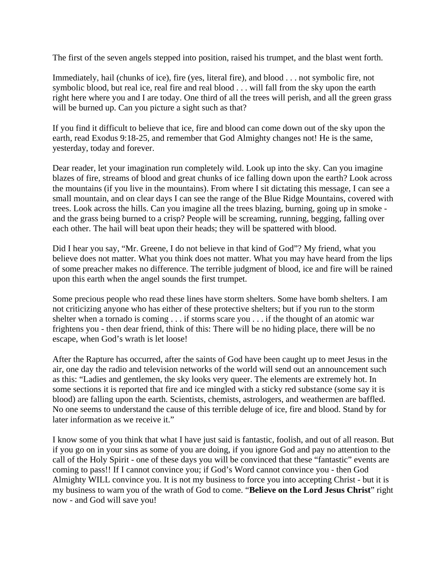The first of the seven angels stepped into position, raised his trumpet, and the blast went forth.

Immediately, hail (chunks of ice), fire (yes, literal fire), and blood . . . not symbolic fire, not symbolic blood, but real ice, real fire and real blood . . . will fall from the sky upon the earth right here where you and I are today. One third of all the trees will perish, and all the green grass will be burned up. Can you picture a sight such as that?

If you find it difficult to believe that ice, fire and blood can come down out of the sky upon the earth, read Exodus 9:18-25, and remember that God Almighty changes not! He is the same, yesterday, today and forever.

Dear reader, let your imagination run completely wild. Look up into the sky. Can you imagine blazes of fire, streams of blood and great chunks of ice falling down upon the earth? Look across the mountains (if you live in the mountains). From where I sit dictating this message, I can see a small mountain, and on clear days I can see the range of the Blue Ridge Mountains, covered with trees. Look across the hills. Can you imagine all the trees blazing, burning, going up in smoke and the grass being burned to a crisp? People will be screaming, running, begging, falling over each other. The hail will beat upon their heads; they will be spattered with blood.

Did I hear you say, "Mr. Greene, I do not believe in that kind of God"? My friend, what you believe does not matter. What you think does not matter. What you may have heard from the lips of some preacher makes no difference. The terrible judgment of blood, ice and fire will be rained upon this earth when the angel sounds the first trumpet.

Some precious people who read these lines have storm shelters. Some have bomb shelters. I am not criticizing anyone who has either of these protective shelters; but if you run to the storm shelter when a tornado is coming . . . if storms scare you . . . if the thought of an atomic war frightens you - then dear friend, think of this: There will be no hiding place, there will be no escape, when God's wrath is let loose!

After the Rapture has occurred, after the saints of God have been caught up to meet Jesus in the air, one day the radio and television networks of the world will send out an announcement such as this: "Ladies and gentlemen, the sky looks very queer. The elements are extremely hot. In some sections it is reported that fire and ice mingled with a sticky red substance (some say it is blood) are falling upon the earth. Scientists, chemists, astrologers, and weathermen are baffled. No one seems to understand the cause of this terrible deluge of ice, fire and blood. Stand by for later information as we receive it."

I know some of you think that what I have just said is fantastic, foolish, and out of all reason. But if you go on in your sins as some of you are doing, if you ignore God and pay no attention to the call of the Holy Spirit - one of these days you will be convinced that these "fantastic" events are coming to pass!! If I cannot convince you; if God's Word cannot convince you - then God Almighty WILL convince you. It is not my business to force you into accepting Christ - but it is my business to warn you of the wrath of God to come. "**Believe on the Lord Jesus Christ**" right now - and God will save you!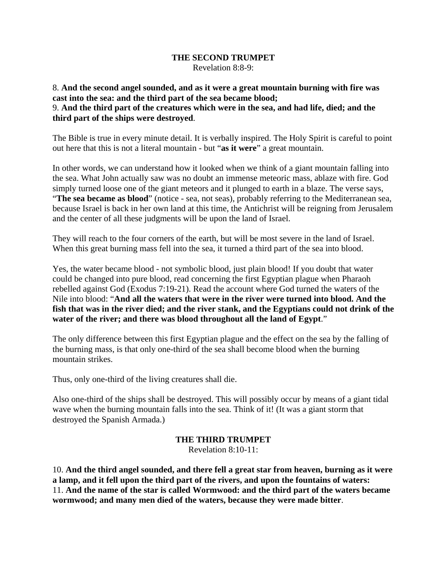#### **THE SECOND TRUMPET** Revelation 8:8-9:

#### 8. **And the second angel sounded, and as it were a great mountain burning with fire was cast into the sea: and the third part of the sea became blood;** 9. **And the third part of the creatures which were in the sea, and had life, died; and the third part of the ships were destroyed**.

The Bible is true in every minute detail. It is verbally inspired. The Holy Spirit is careful to point out here that this is not a literal mountain - but "**as it were**" a great mountain.

In other words, we can understand how it looked when we think of a giant mountain falling into the sea. What John actually saw was no doubt an immense meteoric mass, ablaze with fire. God simply turned loose one of the giant meteors and it plunged to earth in a blaze. The verse says, "**The sea became as blood**" (notice - sea, not seas), probably referring to the Mediterranean sea, because Israel is back in her own land at this time, the Antichrist will be reigning from Jerusalem and the center of all these judgments will be upon the land of Israel.

They will reach to the four corners of the earth, but will be most severe in the land of Israel. When this great burning mass fell into the sea, it turned a third part of the sea into blood.

Yes, the water became blood - not symbolic blood, just plain blood! If you doubt that water could be changed into pure blood, read concerning the first Egyptian plague when Pharaoh rebelled against God (Exodus 7:19-21). Read the account where God turned the waters of the Nile into blood: "**And all the waters that were in the river were turned into blood. And the fish that was in the river died; and the river stank, and the Egyptians could not drink of the water of the river; and there was blood throughout all the land of Egypt**."

The only difference between this first Egyptian plague and the effect on the sea by the falling of the burning mass, is that only one-third of the sea shall become blood when the burning mountain strikes.

Thus, only one-third of the living creatures shall die.

Also one-third of the ships shall be destroyed. This will possibly occur by means of a giant tidal wave when the burning mountain falls into the sea. Think of it! (It was a giant storm that destroyed the Spanish Armada.)

# **THE THIRD TRUMPET**

Revelation 8:10-11:

10. **And the third angel sounded, and there fell a great star from heaven, burning as it were a lamp, and it fell upon the third part of the rivers, and upon the fountains of waters:** 11. **And the name of the star is called Wormwood: and the third part of the waters became wormwood; and many men died of the waters, because they were made bitter**.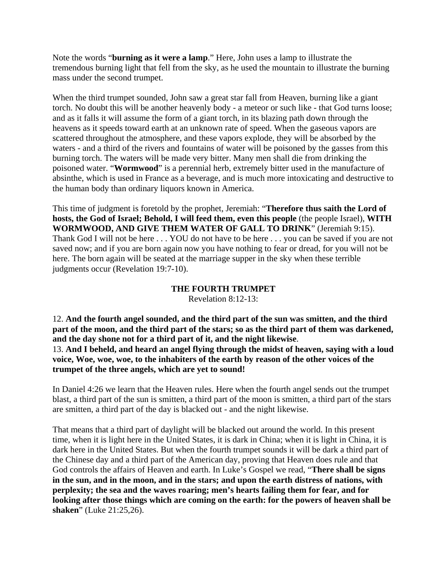Note the words "**burning as it were a lamp**." Here, John uses a lamp to illustrate the tremendous burning light that fell from the sky, as he used the mountain to illustrate the burning mass under the second trumpet.

When the third trumpet sounded, John saw a great star fall from Heaven, burning like a giant torch. No doubt this will be another heavenly body - a meteor or such like - that God turns loose; and as it falls it will assume the form of a giant torch, in its blazing path down through the heavens as it speeds toward earth at an unknown rate of speed. When the gaseous vapors are scattered throughout the atmosphere, and these vapors explode, they will be absorbed by the waters - and a third of the rivers and fountains of water will be poisoned by the gasses from this burning torch. The waters will be made very bitter. Many men shall die from drinking the poisoned water. "**Wormwood**" is a perennial herb, extremely bitter used in the manufacture of absinthe, which is used in France as a beverage, and is much more intoxicating and destructive to the human body than ordinary liquors known in America.

This time of judgment is foretold by the prophet, Jeremiah: "**Therefore thus saith the Lord of hosts, the God of Israel; Behold, I will feed them, even this people** (the people Israel), **WITH WORMWOOD, AND GIVE THEM WATER OF GALL TO DRINK**" (Jeremiah 9:15). Thank God I will not be here . . . YOU do not have to be here . . . you can be saved if you are not saved now; and if you are born again now you have nothing to fear or dread, for you will not be here. The born again will be seated at the marriage supper in the sky when these terrible judgments occur (Revelation 19:7-10).

#### **THE FOURTH TRUMPET**

Revelation 8:12-13:

12. **And the fourth angel sounded, and the third part of the sun was smitten, and the third part of the moon, and the third part of the stars; so as the third part of them was darkened, and the day shone not for a third part of it, and the night likewise**. 13. **And I beheld, and heard an angel flying through the midst of heaven, saying with a loud voice, Woe, woe, woe, to the inhabiters of the earth by reason of the other voices of the trumpet of the three angels, which are yet to sound!**

In Daniel 4:26 we learn that the Heaven rules. Here when the fourth angel sends out the trumpet blast, a third part of the sun is smitten, a third part of the moon is smitten, a third part of the stars are smitten, a third part of the day is blacked out - and the night likewise.

That means that a third part of daylight will be blacked out around the world. In this present time, when it is light here in the United States, it is dark in China; when it is light in China, it is dark here in the United States. But when the fourth trumpet sounds it will be dark a third part of the Chinese day and a third part of the American day, proving that Heaven does rule and that God controls the affairs of Heaven and earth. In Luke's Gospel we read, "**There shall be signs in the sun, and in the moon, and in the stars; and upon the earth distress of nations, with perplexity; the sea and the waves roaring; men's hearts failing them for fear, and for looking after those things which are coming on the earth: for the powers of heaven shall be shaken**" (Luke 21:25,26).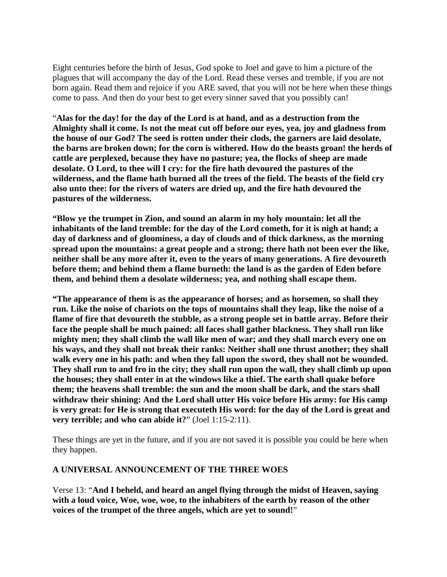Eight centuries before the birth of Jesus, God spoke to Joel and gave to him a picture of the plagues that will accompany the day of the Lord. Read these verses and tremble, if you are not born again. Read them and rejoice if you ARE saved, that you will not be here when these things come to pass. And then do your best to get every sinner saved that you possibly can!

"**Alas for the day! for the day of the Lord is at hand, and as a destruction from the Almighty shall it come. Is not the meat cut off before our eyes, yea, joy and gladness from the house of our God? The seed is rotten under their clods, the garners are laid desolate, the barns are broken down; for the corn is withered. How do the beasts groan! the herds of cattle are perplexed, because they have no pasture; yea, the flocks of sheep are made desolate. O Lord, to thee will I cry: for the fire hath devoured the pastures of the wilderness, and the flame hath burned all the trees of the field. The beasts of the field cry also unto thee: for the rivers of waters are dried up, and the fire hath devoured the pastures of the wilderness.** 

**"Blow ye the trumpet in Zion, and sound an alarm in my holy mountain: let all the inhabitants of the land tremble: for the day of the Lord cometh, for it is nigh at hand; a day of darkness and of gloominess, a day of clouds and of thick darkness, as the morning spread upon the mountains: a great people and a strong; there hath not been ever the like, neither shall be any more after it, even to the years of many generations. A fire devoureth before them; and behind them a flame burneth: the land is as the garden of Eden before them, and behind them a desolate wilderness; yea, and nothing shall escape them.** 

**"The appearance of them is as the appearance of horses; and as horsemen, so shall they run. Like the noise of chariots on the tops of mountains shall they leap, like the noise of a flame of fire that devoureth the stubble, as a strong people set in battle array. Before their face the people shall be much pained: all faces shall gather blackness. They shall run like mighty men; they shall climb the wall like men of war; and they shall march every one on his ways, and they shall not break their ranks: Neither shall one thrust another; they shall walk every one in his path: and when they fall upon the sword, they shall not be wounded. They shall run to and fro in the city; they shall run upon the wall, they shall climb up upon the houses; they shall enter in at the windows like a thief. The earth shall quake before them; the heavens shall tremble: the sun and the moon shall be dark, and the stars shall withdraw their shining: And the Lord shall utter His voice before His army: for His camp is very great: for He is strong that executeth His word: for the day of the Lord is great and very terrible; and who can abide it?**" (Joel 1:15-2:11).

These things are yet in the future, and if you are not saved it is possible you could be here when they happen.

# **A UNIVERSAL ANNOUNCEMENT OF THE THREE WOES**

Verse 13: "**And I beheld, and heard an angel flying through the midst of Heaven, saying with a loud voice, Woe, woe, woe, to the inhabiters of the earth by reason of the other voices of the trumpet of the three angels, which are yet to sound!**"